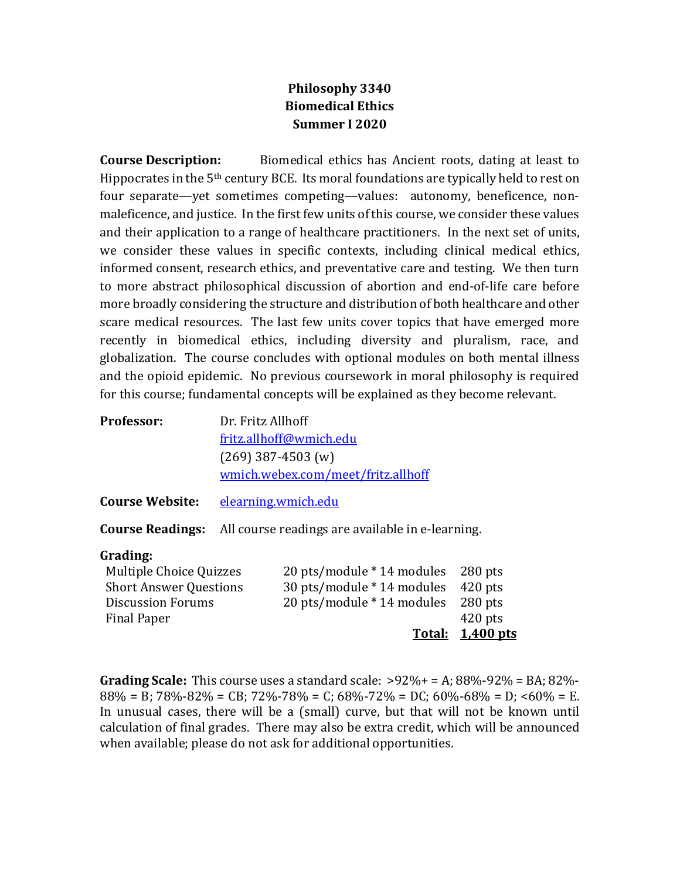## **Philosophy 3340 Biomedical Ethics Summer I 2020**

**Course Description:** Biomedical ethics has Ancient roots, dating at least to Hippocrates in the  $5<sup>th</sup>$  century BCE. Its moral foundations are typically held to rest on four separate—yet sometimes competing—values: autonomy, beneficence, nonmaleficence, and justice. In the first few units of this course, we consider these values and their application to a range of healthcare practitioners. In the next set of units, we consider these values in specific contexts, including clinical medical ethics, informed consent, research ethics, and preventative care and testing. We then turn to more abstract philosophical discussion of abortion and end-of-life care before more broadly considering the structure and distribution of both healthcare and other scare medical resources. The last few units cover topics that have emerged more recently in biomedical ethics, including diversity and pluralism, race, and globalization. The course concludes with optional modules on both mental illness and the opioid epidemic. No previous coursework in moral philosophy is required for this course; fundamental concepts will be explained as they become relevant.

| Professor:             | Dr. Fritz Allhoff                                                        |
|------------------------|--------------------------------------------------------------------------|
|                        | fritz.allhoff@wmich.edu                                                  |
|                        | $(269)$ 387-4503 (w)                                                     |
|                        | wmich.webex.com/meet/fritz.allhoff                                       |
| <b>Course Website:</b> | elearning.wmich.edu                                                      |
|                        | <b>Course Readings:</b> All course readings are available in e-learning. |

## **Grading:**

|                               |                                    | Total: 1,400 pts |
|-------------------------------|------------------------------------|------------------|
| Final Paper                   |                                    | $420$ pts        |
| <b>Discussion Forums</b>      | 20 pts/module * 14 modules 280 pts |                  |
| <b>Short Answer Questions</b> | 30 pts/module * 14 modules 420 pts |                  |
| Multiple Choice Quizzes       | 20 pts/module * 14 modules 280 pts |                  |

**Grading Scale:** This course uses a standard scale:  $>92\% + 2.88\% - 92\% = BA$ ; 82%- $88\% = B$ ;  $78\% - 82\% = CB$ ;  $72\% - 78\% = C$ ;  $68\% - 72\% = DC$ ;  $60\% - 68\% = D$ ;  $< 60\% = E$ . In unusual cases, there will be a (small) curve, but that will not be known until calculation of final grades. There may also be extra credit, which will be announced when available; please do not ask for additional opportunities.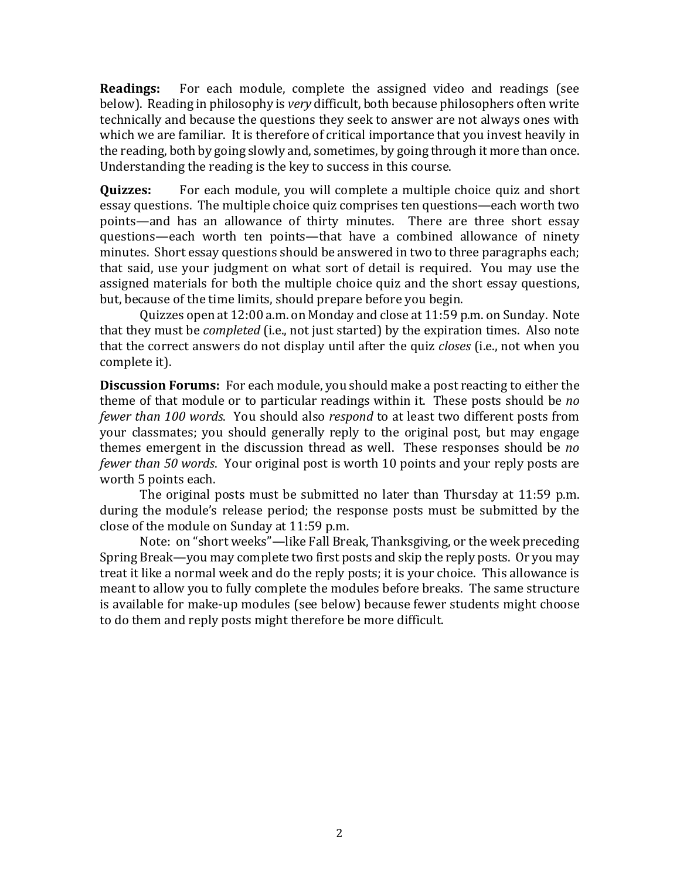**Readings:** For each module, complete the assigned video and readings (see below). Reading in philosophy is *very* difficult, both because philosophers often write technically and because the questions they seek to answer are not always ones with which we are familiar. It is therefore of critical importance that you invest heavily in the reading, both by going slowly and, sometimes, by going through it more than once. Understanding the reading is the key to success in this course.

**Quizzes:** For each module, you will complete a multiple choice quiz and short essay questions. The multiple choice quiz comprises ten questions—each worth two points—and has an allowance of thirty minutes. There are three short essay questions—each worth ten points—that have a combined allowance of ninety minutes. Short essay questions should be answered in two to three paragraphs each; that said, use your judgment on what sort of detail is required. You may use the assigned materials for both the multiple choice quiz and the short essay questions, but, because of the time limits, should prepare before you begin.

Quizzes open at 12:00 a.m. on Monday and close at 11:59 p.m. on Sunday. Note that they must be *completed* (i.e., not just started) by the expiration times. Also note that the correct answers do not display until after the quiz *closes* (i.e., not when you complete it).

**Discussion Forums:** For each module, you should make a post reacting to either the theme of that module or to particular readings within it. These posts should be *no fewer than 100 words.* You should also *respond* to at least two different posts from your classmates; you should generally reply to the original post, but may engage themes emergent in the discussion thread as well. These responses should be *no fewer than 50 words.* Your original post is worth 10 points and your reply posts are worth 5 points each.

The original posts must be submitted no later than Thursday at 11:59 p.m. during the module's release period; the response posts must be submitted by the close of the module on Sunday at 11:59 p.m.

Note: on "short weeks"—like Fall Break, Thanksgiving, or the week preceding Spring Break—you may complete two first posts and skip the reply posts. Or you may treat it like a normal week and do the reply posts; it is your choice. This allowance is meant to allow you to fully complete the modules before breaks. The same structure is available for make-up modules (see below) because fewer students might choose to do them and reply posts might therefore be more difficult.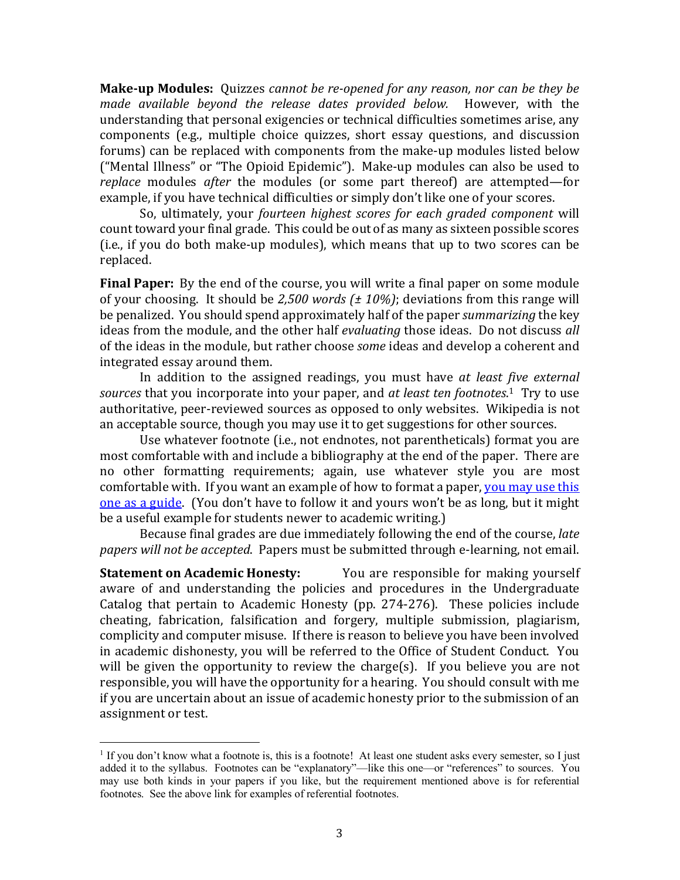**Make-up Modules:** Ouizzes *cannot be re-opened for any reason, nor can be they be made available beyond the release dates provided below.* However, with the understanding that personal exigencies or technical difficulties sometimes arise, any components (e.g., multiple choice quizzes, short essay questions, and discussion forums) can be replaced with components from the make-up modules listed below ("Mental Illness" or "The Opioid Epidemic"). Make-up modules can also be used to *replace* modules *after* the modules (or some part thereof) are attempted—for example, if you have technical difficulties or simply don't like one of your scores.

So, ultimately, your *fourteen highest scores for each graded component* will count toward your final grade. This could be out of as many as sixteen possible scores  $(i.e., if you do both make-up modules), which means that up to two scores can be$ replaced.

**Final Paper:** By the end of the course, you will write a final paper on some module of your choosing. It should be 2,500 words  $(± 10\%)$ ; deviations from this range will be penalized. You should spend approximately half of the paper *summarizing* the key ideas from the module, and the other half *evaluating* those ideas. Do not discuss all of the ideas in the module, but rather choose *some* ideas and develop a coherent and integrated essay around them.

In addition to the assigned readings, you must have at least five external sources that you incorporate into your paper, and *at least ten footnotes*.<sup>1</sup> Try to use authoritative, peer-reviewed sources as opposed to only websites. Wikipedia is not an acceptable source, though you may use it to get suggestions for other sources.

Use whatever footnote (i.e., not endnotes, not parentheticals) format you are most comfortable with and include a bibliography at the end of the paper. There are no other formatting requirements; again, use whatever style you are most comfortable with. If you want an example of how to format a paper, you may use this one as a guide. (You don't have to follow it and yours won't be as long, but it might be a useful example for students newer to academic writing.)

Because final grades are due immediately following the end of the course, *late* papers will not be accepted. Papers must be submitted through e-learning, not email.

**Statement on Academic Honesty:** You are responsible for making yourself aware of and understanding the policies and procedures in the Undergraduate Catalog that pertain to Academic Honesty (pp. 274-276). These policies include cheating, fabrication, falsification and forgery, multiple submission, plagiarism, complicity and computer misuse. If there is reason to believe you have been involved in academic dishonesty, you will be referred to the Office of Student Conduct. You will be given the opportunity to review the charge(s). If you believe you are not responsible, you will have the opportunity for a hearing. You should consult with me if you are uncertain about an issue of academic honesty prior to the submission of an assignment or test.

 $1$  If you don't know what a footnote is, this is a footnote! At least one student asks every semester, so I just added it to the syllabus. Footnotes can be "explanatory"—like this one—or "references" to sources. You may use both kinds in your papers if you like, but the requirement mentioned above is for referential footnotes. See the above link for examples of referential footnotes.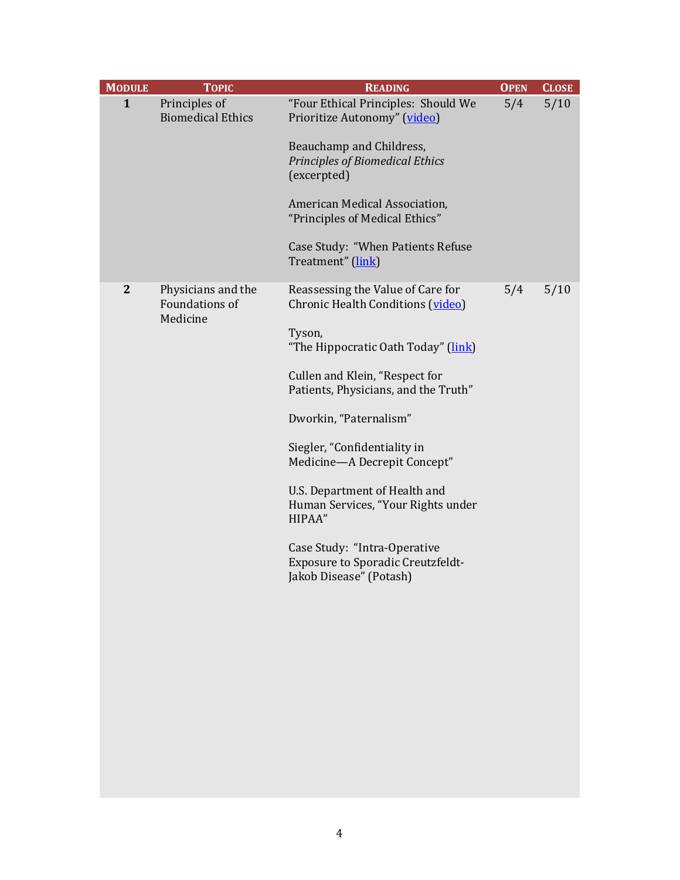| <b>MODULE</b> | <b>TOPIC</b>                                     | <b>READING</b>                                                                                                                                                                                                                                                                                                                                                                                                                                                               | <b>OPEN</b> | <b>CLOSE</b> |
|---------------|--------------------------------------------------|------------------------------------------------------------------------------------------------------------------------------------------------------------------------------------------------------------------------------------------------------------------------------------------------------------------------------------------------------------------------------------------------------------------------------------------------------------------------------|-------------|--------------|
| $\mathbf{1}$  | Principles of<br><b>Biomedical Ethics</b>        | "Four Ethical Principles: Should We<br>Prioritize Autonomy" (video)<br>Beauchamp and Childress,<br><b>Principles of Biomedical Ethics</b><br>(excerpted)<br>American Medical Association,<br>"Principles of Medical Ethics"<br>Case Study: "When Patients Refuse<br>Treatment" (link)                                                                                                                                                                                        | 5/4         | $5/10$       |
| $\mathbf{2}$  | Physicians and the<br>Foundations of<br>Medicine | Reassessing the Value of Care for<br>Chronic Health Conditions (video)<br>Tyson,<br>"The Hippocratic Oath Today" (link)<br>Cullen and Klein, "Respect for<br>Patients, Physicians, and the Truth"<br>Dworkin, "Paternalism"<br>Siegler, "Confidentiality in<br>Medicine-A Decrepit Concept"<br>U.S. Department of Health and<br>Human Services, "Your Rights under<br>HIPAA"<br>Case Study: "Intra-Operative<br>Exposure to Sporadic Creutzfeldt-<br>Jakob Disease" (Potash) | 5/4         | 5/10         |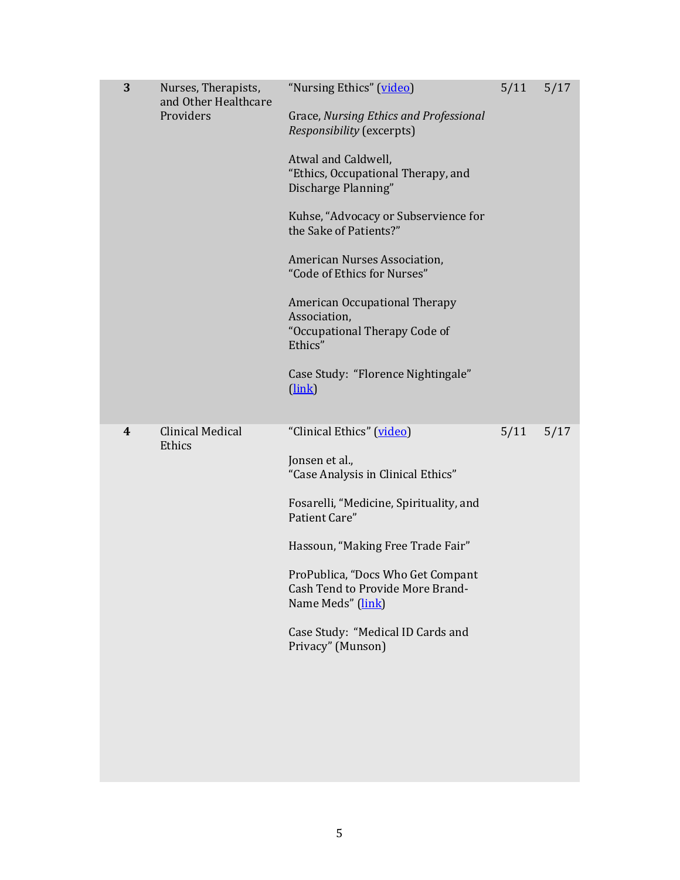| 3 | Nurses, Therapists,<br>and Other Healthcare<br>Providers | "Nursing Ethics" (video)<br>Grace, Nursing Ethics and Professional<br>Responsibility (excerpts)<br>Atwal and Caldwell,<br>"Ethics, Occupational Therapy, and<br>Discharge Planning"<br>Kuhse, "Advocacy or Subservience for<br>the Sake of Patients?"<br>American Nurses Association,<br>"Code of Ethics for Nurses"<br><b>American Occupational Therapy</b><br>Association,<br>"Occupational Therapy Code of<br>Ethics"<br>Case Study: "Florence Nightingale"<br>$(\underline{link})$ | 5/11 | 5/17 |
|---|----------------------------------------------------------|----------------------------------------------------------------------------------------------------------------------------------------------------------------------------------------------------------------------------------------------------------------------------------------------------------------------------------------------------------------------------------------------------------------------------------------------------------------------------------------|------|------|
| 4 | <b>Clinical Medical</b><br>Ethics                        | "Clinical Ethics" (video)<br>Jonsen et al.,<br>"Case Analysis in Clinical Ethics"<br>Fosarelli, "Medicine, Spirituality, and<br>Patient Care"<br>Hassoun, "Making Free Trade Fair"<br>ProPublica, "Docs Who Get Compant<br>Cash Tend to Provide More Brand-<br>Name Meds" (link)<br>Case Study: "Medical ID Cards and<br>Privacy" (Munson)                                                                                                                                             | 5/11 | 5/17 |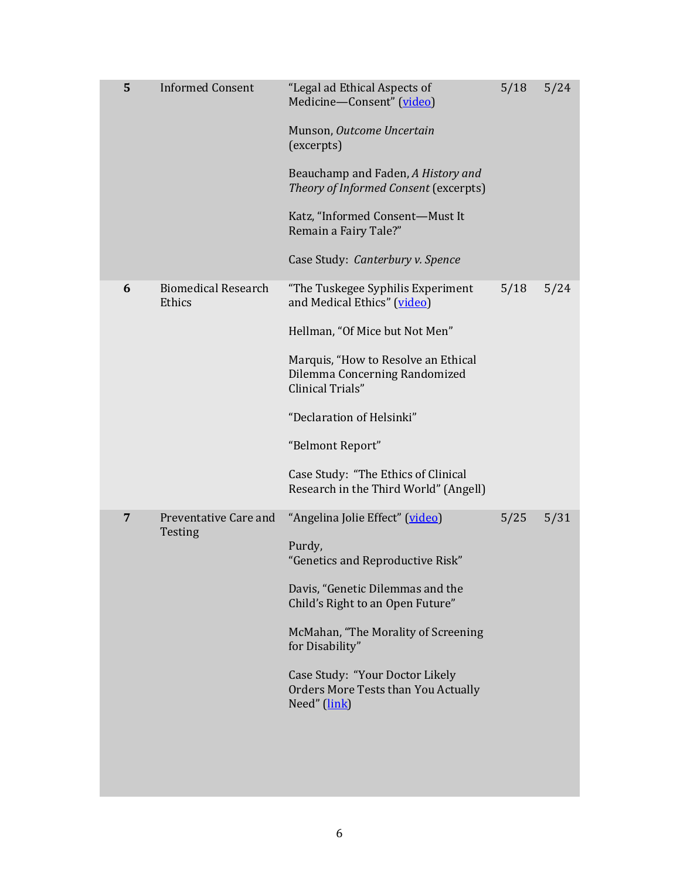| 5 | <b>Informed Consent</b>              | "Legal ad Ethical Aspects of<br>Medicine-Consent" (video)<br>Munson, Outcome Uncertain<br>(excerpts)<br>Beauchamp and Faden, A History and<br>Theory of Informed Consent (excerpts)<br>Katz, "Informed Consent-Must It<br>Remain a Fairy Tale?"<br>Case Study: Canterbury v. Spence                                             | 5/18 | 5/24 |
|---|--------------------------------------|---------------------------------------------------------------------------------------------------------------------------------------------------------------------------------------------------------------------------------------------------------------------------------------------------------------------------------|------|------|
| 6 | <b>Biomedical Research</b><br>Ethics | "The Tuskegee Syphilis Experiment<br>and Medical Ethics" (video)<br>Hellman, "Of Mice but Not Men"<br>Marquis, "How to Resolve an Ethical<br>Dilemma Concerning Randomized<br>Clinical Trials"<br>"Declaration of Helsinki"<br>"Belmont Report"<br>Case Study: "The Ethics of Clinical<br>Research in the Third World" (Angell) | 5/18 | 5/24 |
| 7 | Preventative Care and<br>Testing     | "Angelina Jolie Effect" (video)<br>Purdy,<br>"Genetics and Reproductive Risk"<br>Davis, "Genetic Dilemmas and the<br>Child's Right to an Open Future"<br>McMahan, "The Morality of Screening<br>for Disability"<br>Case Study: "Your Doctor Likely<br>Orders More Tests than You Actually<br>Need" (link)                       | 5/25 | 5/31 |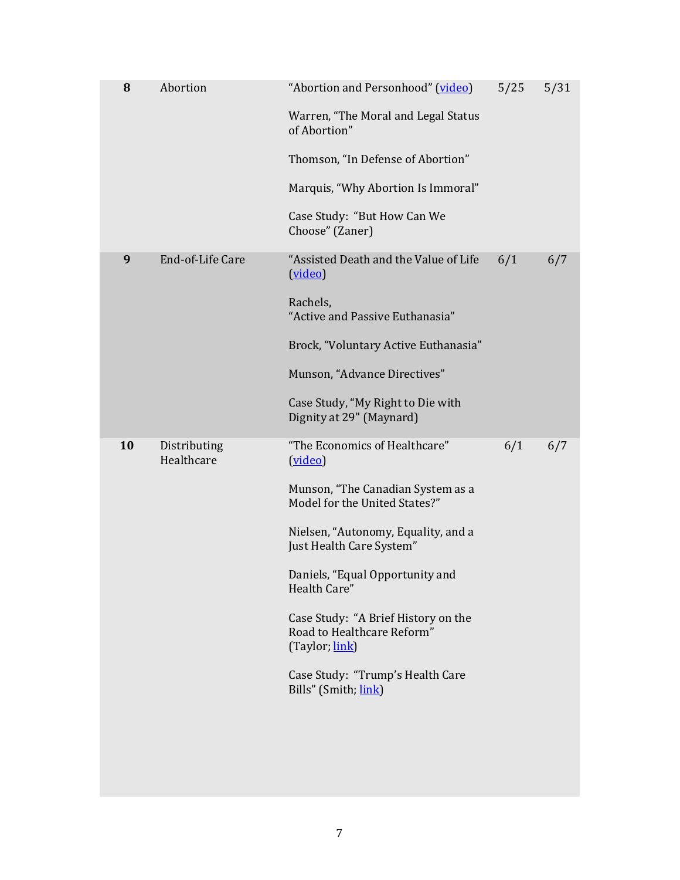| 8  | Abortion                   | "Abortion and Personhood" (video)<br>Warren, "The Moral and Legal Status<br>of Abortion"<br>Thomson, "In Defense of Abortion"<br>Marquis, "Why Abortion Is Immoral"<br>Case Study: "But How Can We<br>Choose" (Zaner)                                                                                                                                                                   | 5/25 | 5/31 |
|----|----------------------------|-----------------------------------------------------------------------------------------------------------------------------------------------------------------------------------------------------------------------------------------------------------------------------------------------------------------------------------------------------------------------------------------|------|------|
| 9  | End-of-Life Care           | "Assisted Death and the Value of Life<br>(video)<br>Rachels,<br>"Active and Passive Euthanasia"<br>Brock, "Voluntary Active Euthanasia"<br>Munson, "Advance Directives"<br>Case Study, "My Right to Die with<br>Dignity at 29" (Maynard)                                                                                                                                                | 6/1  | 6/7  |
| 10 | Distributing<br>Healthcare | "The Economics of Healthcare"<br>(video)<br>Munson, "The Canadian System as a<br>Model for the United States?"<br>Nielsen, "Autonomy, Equality, and a<br>Just Health Care System"<br>Daniels, "Equal Opportunity and<br>Health Care"<br>Case Study: "A Brief History on the<br>Road to Healthcare Reform"<br>(Taylor, link)<br>Case Study: "Trump's Health Care<br>Bills" (Smith, link) | 6/1  | 6/7  |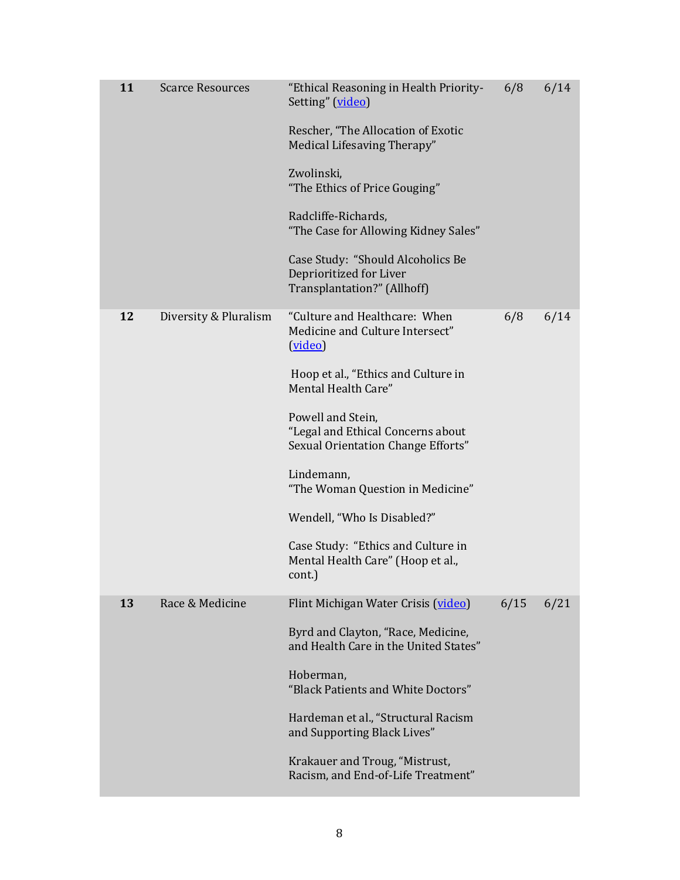| 11 | <b>Scarce Resources</b> | "Ethical Reasoning in Health Priority-<br>Setting" (video)<br>Rescher, "The Allocation of Exotic<br>Medical Lifesaving Therapy"<br>Zwolinski,<br>"The Ethics of Price Gouging"<br>Radcliffe-Richards,<br>"The Case for Allowing Kidney Sales"<br>Case Study: "Should Alcoholics Be<br>Deprioritized for Liver<br>Transplantation?" (Allhoff)                                                                    | 6/8  | 6/14 |
|----|-------------------------|-----------------------------------------------------------------------------------------------------------------------------------------------------------------------------------------------------------------------------------------------------------------------------------------------------------------------------------------------------------------------------------------------------------------|------|------|
| 12 | Diversity & Pluralism   | "Culture and Healthcare: When<br>Medicine and Culture Intersect"<br>(video)<br>Hoop et al., "Ethics and Culture in<br>Mental Health Care"<br>Powell and Stein,<br>"Legal and Ethical Concerns about<br>Sexual Orientation Change Efforts"<br>Lindemann,<br>"The Woman Question in Medicine"<br>Wendell, "Who Is Disabled?"<br>Case Study: "Ethics and Culture in<br>Mental Health Care" (Hoop et al.,<br>cont.) | 6/8  | 6/14 |
| 13 | Race & Medicine         | Flint Michigan Water Crisis (video)<br>Byrd and Clayton, "Race, Medicine,<br>and Health Care in the United States"<br>Hoberman,<br>"Black Patients and White Doctors"<br>Hardeman et al., "Structural Racism<br>and Supporting Black Lives"<br>Krakauer and Troug, "Mistrust,<br>Racism, and End-of-Life Treatment"                                                                                             | 6/15 | 6/21 |